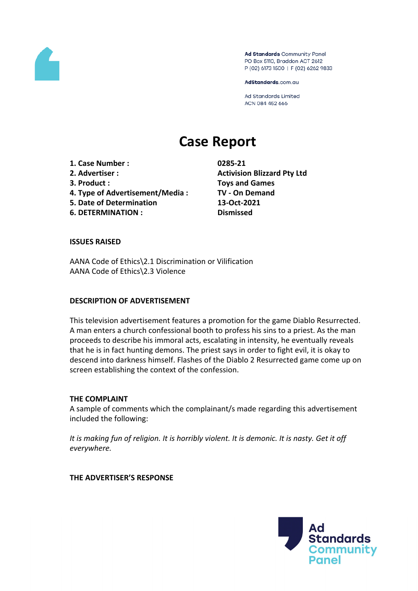

Ad Standards Community Panel PO Box 5110, Braddon ACT 2612 P (02) 6173 1500 | F (02) 6262 9833

AdStandards.com.au

Ad Standards Limited ACN 084 452 666

# **Case Report**

**1. Case Number : 0285-21 2. Advertiser : Activision Blizzard Pty Ltd 3. Product : Toys and Games 4. Type of Advertisement/Media : TV - On Demand**

- **5. Date of Determination 13-Oct-2021**
- **6. DETERMINATION : Dismissed**

#### **ISSUES RAISED**

AANA Code of Ethics\2.1 Discrimination or Vilification AANA Code of Ethics\2.3 Violence

## **DESCRIPTION OF ADVERTISEMENT**

This television advertisement features a promotion for the game Diablo Resurrected. A man enters a church confessional booth to profess his sins to a priest. As the man proceeds to describe his immoral acts, escalating in intensity, he eventually reveals that he is in fact hunting demons. The priest says in order to fight evil, it is okay to descend into darkness himself. Flashes of the Diablo 2 Resurrected game come up on screen establishing the context of the confession.

## **THE COMPLAINT**

A sample of comments which the complainant/s made regarding this advertisement included the following:

It is making fun of religion. It is horribly violent. It is demonic. It is nasty. Get it off *everywhere.*

**THE ADVERTISER'S RESPONSE**

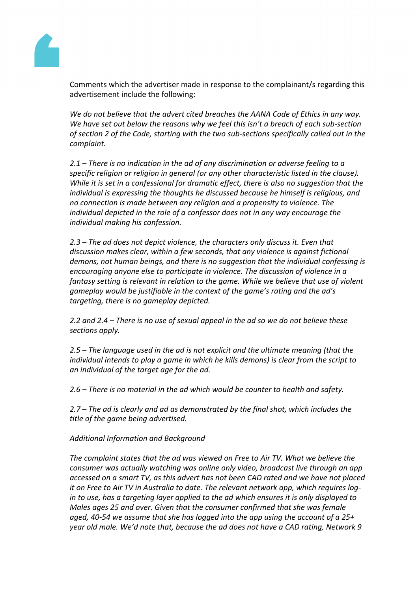

Comments which the advertiser made in response to the complainant/s regarding this advertisement include the following:

*We do not believe that the advert cited breaches the AANA Code of Ethics in any way. We have set out below the reasons why we feel this isn't a breach of each sub-section of section 2 of the Code, starting with the two sub-sections specifically called out in the complaint.*

*2.1 – There is no indication in the ad of any discrimination or adverse feeling to a specific religion or religion in general (or any other characteristic listed in the clause). While it is set in a confessional for dramatic effect, there is also no suggestion that the individual is expressing the thoughts he discussed because he himself is religious, and no connection is made between any religion and a propensity to violence. The individual depicted in the role of a confessor does not in any way encourage the individual making his confession.*

*2.3 – The ad does not depict violence, the characters only discuss it. Even that discussion makes clear, within a few seconds, that any violence is against fictional demons, not human beings, and there is no suggestion that the individual confessing is encouraging anyone else to participate in violence. The discussion of violence in a fantasy setting is relevant in relation to the game. While we believe that use of violent gameplay would be justifiable in the context of the game's rating and the ad's targeting, there is no gameplay depicted.*

*2.2 and 2.4 – There is no use of sexual appeal in the ad so we do not believe these sections apply.*

*2.5 – The language used in the ad is not explicit and the ultimate meaning (that the individual intends to play a game in which he kills demons) is clear from the script to an individual of the target age for the ad.*

*2.6 – There is no material in the ad which would be counter to health and safety.*

*2.7 – The ad is clearly and ad as demonstrated by the final shot, which includes the title of the game being advertised.*

*Additional Information and Background*

*The complaint states that the ad was viewed on Free to Air TV. What we believe the consumer was actually watching was online only video, broadcast live through an app accessed on a smart TV, as this advert has not been CAD rated and we have not placed it on Free to Air TV in Australia to date. The relevant network app, which requires login to use, has a targeting layer applied to the ad which ensures it is only displayed to Males ages 25 and over. Given that the consumer confirmed that she was female aged, 40-54 we assume that she has logged into the app using the account of a 25+ year old male. We'd note that, because the ad does not have a CAD rating, Network 9*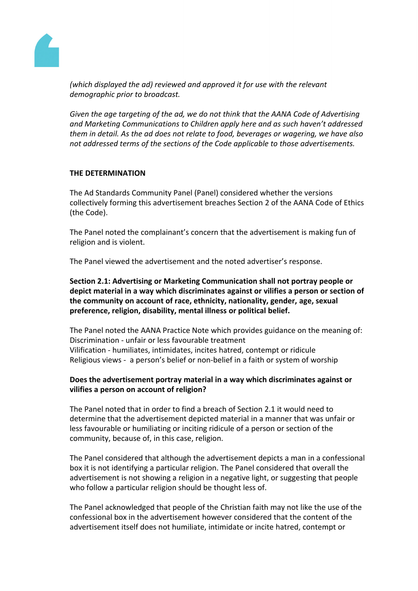

*(which displayed the ad) reviewed and approved it for use with the relevant demographic prior to broadcast.*

*Given the age targeting of the ad, we do not think that the AANA Code of Advertising and Marketing Communications to Children apply here and as such haven't addressed them in detail. As the ad does not relate to food, beverages or wagering, we have also not addressed terms of the sections of the Code applicable to those advertisements.*

## **THE DETERMINATION**

The Ad Standards Community Panel (Panel) considered whether the versions collectively forming this advertisement breaches Section 2 of the AANA Code of Ethics (the Code).

The Panel noted the complainant's concern that the advertisement is making fun of religion and is violent.

The Panel viewed the advertisement and the noted advertiser's response.

**Section 2.1: Advertising or Marketing Communication shall not portray people or depict material in a way which discriminates against or vilifies a person or section of the community on account of race, ethnicity, nationality, gender, age, sexual preference, religion, disability, mental illness or political belief.**

The Panel noted the AANA Practice Note which provides guidance on the meaning of: Discrimination - unfair or less favourable treatment Vilification - humiliates, intimidates, incites hatred, contempt or ridicule Religious views - a person's belief or non-belief in a faith or system of worship

# **Does the advertisement portray material in a way which discriminates against or vilifies a person on account of religion?**

The Panel noted that in order to find a breach of Section 2.1 it would need to determine that the advertisement depicted material in a manner that was unfair or less favourable or humiliating or inciting ridicule of a person or section of the community, because of, in this case, religion.

The Panel considered that although the advertisement depicts a man in a confessional box it is not identifying a particular religion. The Panel considered that overall the advertisement is not showing a religion in a negative light, or suggesting that people who follow a particular religion should be thought less of.

The Panel acknowledged that people of the Christian faith may not like the use of the confessional box in the advertisement however considered that the content of the advertisement itself does not humiliate, intimidate or incite hatred, contempt or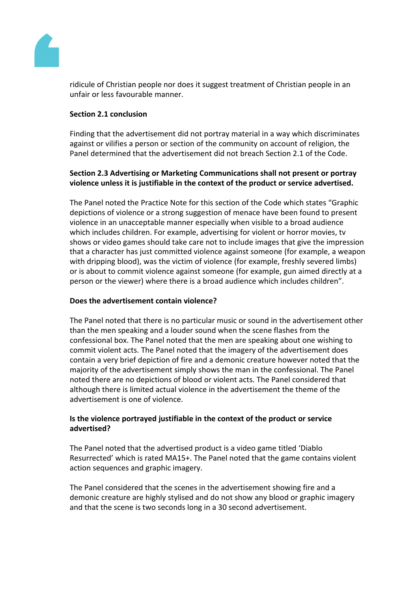

ridicule of Christian people nor does it suggest treatment of Christian people in an unfair or less favourable manner.

## **Section 2.1 conclusion**

Finding that the advertisement did not portray material in a way which discriminates against or vilifies a person or section of the community on account of religion, the Panel determined that the advertisement did not breach Section 2.1 of the Code.

# **Section 2.3 Advertising or Marketing Communications shall not present or portray violence unless it is justifiable in the context of the product or service advertised.**

The Panel noted the Practice Note for this section of the Code which states "Graphic depictions of violence or a strong suggestion of menace have been found to present violence in an unacceptable manner especially when visible to a broad audience which includes children. For example, advertising for violent or horror movies, tv shows or video games should take care not to include images that give the impression that a character has just committed violence against someone (for example, a weapon with dripping blood), was the victim of violence (for example, freshly severed limbs) or is about to commit violence against someone (for example, gun aimed directly at a person or the viewer) where there is a broad audience which includes children".

# **Does the advertisement contain violence?**

The Panel noted that there is no particular music or sound in the advertisement other than the men speaking and a louder sound when the scene flashes from the confessional box. The Panel noted that the men are speaking about one wishing to commit violent acts. The Panel noted that the imagery of the advertisement does contain a very brief depiction of fire and a demonic creature however noted that the majority of the advertisement simply shows the man in the confessional. The Panel noted there are no depictions of blood or violent acts. The Panel considered that although there is limited actual violence in the advertisement the theme of the advertisement is one of violence.

# **Is the violence portrayed justifiable in the context of the product or service advertised?**

The Panel noted that the advertised product is a video game titled 'Diablo Resurrected' which is rated MA15+. The Panel noted that the game contains violent action sequences and graphic imagery.

The Panel considered that the scenes in the advertisement showing fire and a demonic creature are highly stylised and do not show any blood or graphic imagery and that the scene is two seconds long in a 30 second advertisement.